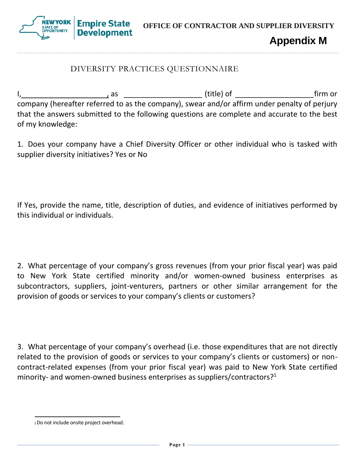**Empire State OFFICE OF CONTRACTOR AND SUPPLIER DIVERSITY Development** 

**Appendix M**

## DIVERSITY PRACTICES QUESTIONNAIRE

I, , as \_\_\_\_\_\_\_\_\_\_\_\_\_\_\_\_\_\_\_ (title) of \_\_\_\_\_\_\_\_\_\_\_\_\_\_\_\_\_\_\_firm or company (hereafter referred to as the company), swear and/or affirm under penalty of perjury that the answers submitted to the following questions are complete and accurate to the best of my knowledge:

1. Does your company have a Chief Diversity Officer or other individual who is tasked with supplier diversity initiatives? Yes or No

If Yes, provide the name, title, description of duties, and evidence of initiatives performed by this individual or individuals.

2. What percentage of your company's gross revenues (from your prior fiscal year) was paid to New York State certified minority and/or women-owned business enterprises as subcontractors, suppliers, joint-venturers, partners or other similar arrangement for the provision of goods or services to your company's clients or customers?

3. What percentage of your company's overhead (i.e. those expenditures that are not directly related to the provision of goods or services to your company's clients or customers) or noncontract-related expenses (from your prior fiscal year) was paid to New York State certified minority- and women-owned business enterprises as suppliers/contractors?<sup>1</sup>

<sup>1</sup>Do not include onsite project overhead.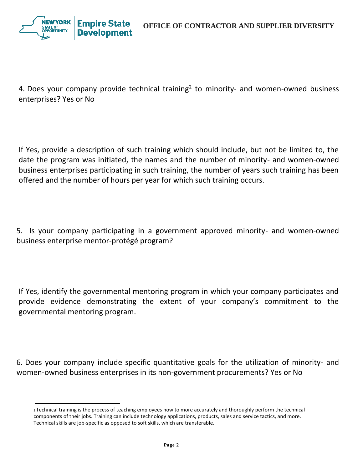

4. Does your company provide technical training<sup>2</sup> to minority- and women-owned business enterprises? Yes or No

If Yes, provide a description of such training which should include, but not be limited to, the date the program was initiated, the names and the number of minority- and women-owned business enterprises participating in such training, the number of years such training has been offered and the number of hours per year for which such training occurs.

5. Is your company participating in a government approved minority- and women-owned business enterprise mentor-protégé program?

If Yes, identify the governmental mentoring program in which your company participates and provide evidence demonstrating the extent of your company's commitment to the governmental mentoring program.

6. Does your company include specific quantitative goals for the utilization of minority- and women-owned business enterprises in its non-government procurements? Yes or No

<sup>2</sup>Technical training is the process of teaching employees how to more accurately and thoroughly perform the technical components of their jobs. Training can include technology applications, products, sales and service tactics, and more. Technical skills are job-specific as opposed to soft skills, which are transferable.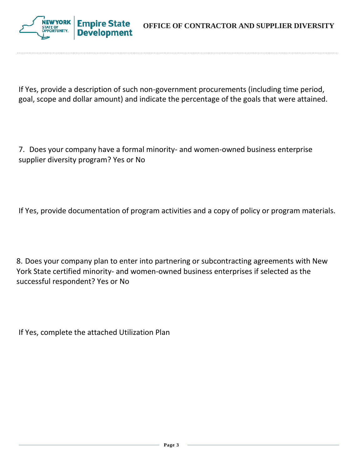**OFFICE OF CONTRACTOR AND SUPPLIER DIVERSITY**



If Yes, provide a description of such non-government procurements (including time period, goal, scope and dollar amount) and indicate the percentage of the goals that were attained.

7. Does your company have a formal minority- and women-owned business enterprise supplier diversity program? Yes or No

If Yes, provide documentation of program activities and a copy of policy or program materials.

8. Does your company plan to enter into partnering or subcontracting agreements with New York State certified minority- and women-owned business enterprises if selected as the successful respondent? Yes or No

If Yes, complete the attached Utilization Plan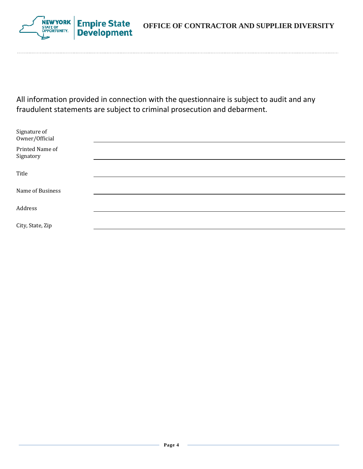

NEW YORK **Empire State**<br>Development

All information provided in connection with the questionnaire is subject to audit and any fraudulent statements are subject to criminal prosecution and debarment.

| Signature of<br>Owner/Official |  |  |
|--------------------------------|--|--|
| Printed Name of<br>Signatory   |  |  |
|                                |  |  |
| Title                          |  |  |
|                                |  |  |
| Name of Business               |  |  |
|                                |  |  |
| Address                        |  |  |
|                                |  |  |
| City, State, Zip               |  |  |
|                                |  |  |